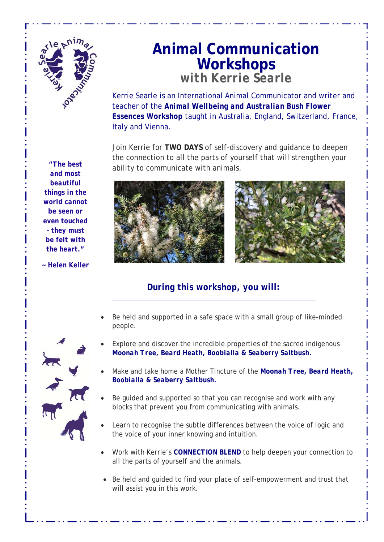

# **Animal Communication Workshops** *with Kerrie Searle*

Kerrie Searle is an International Animal Communicator and writer and teacher of the *Animal Wellbeing and Australian Bush Flower Essences Workshop* taught in Australia, England, Switzerland, France, Italy and Vienna.

Join Kerrie for **TWO DAYS** of self-discovery and guidance to deepen the connection to all the parts of yourself that will strengthen your ability to communicate with animals.



# *During this workshop, you will:*

- Be held and supported in a safe space with a small group of like-minded people.
- Explore and discover the incredible properties of the sacred indigenous *Moonah Tree, Beard Heath, Boobialla & Seaberry Saltbush.*
- Make and take home a Mother Tincture of the *Moonah Tree, Beard Heath, Boobialla & Seaberry Saltbush.*
- Be guided and supported so that you can recognise and work with any blocks that prevent you from communicating with animals.
- Learn to recognise the subtle differences between the voice of logic and the voice of your inner knowing and intuition.
- Work with Kerrie's *CONNECTION BLEND* to help deepen your connection to all the parts of yourself and the animals.
- Be held and guided to find your place of self-empowerment and trust that will assist you in this work.

 *be seen or "The best and most beautiful things in the world cannot even touched – they must be felt with the heart."* 

*~ Helen Keller*